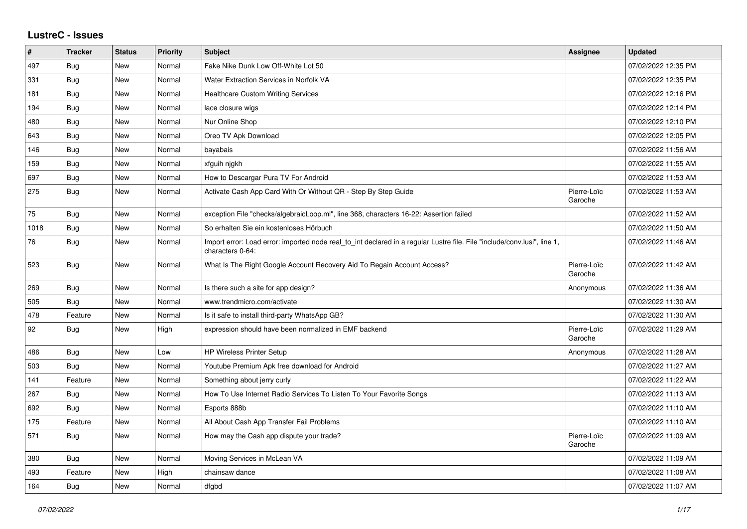## **LustreC - Issues**

| $\sharp$ | <b>Tracker</b> | <b>Status</b> | <b>Priority</b> | <b>Subject</b>                                                                                                                               | <b>Assignee</b>        | <b>Updated</b>      |
|----------|----------------|---------------|-----------------|----------------------------------------------------------------------------------------------------------------------------------------------|------------------------|---------------------|
| 497      | Bug            | New           | Normal          | Fake Nike Dunk Low Off-White Lot 50                                                                                                          |                        | 07/02/2022 12:35 PM |
| 331      | Bug            | <b>New</b>    | Normal          | Water Extraction Services in Norfolk VA                                                                                                      |                        | 07/02/2022 12:35 PM |
| 181      | Bug            | New           | Normal          | Healthcare Custom Writing Services                                                                                                           |                        | 07/02/2022 12:16 PM |
| 194      | Bug            | <b>New</b>    | Normal          | lace closure wigs                                                                                                                            |                        | 07/02/2022 12:14 PM |
| 480      | Bug            | New           | Normal          | Nur Online Shop                                                                                                                              |                        | 07/02/2022 12:10 PM |
| 643      | Bug            | <b>New</b>    | Normal          | Oreo TV Apk Download                                                                                                                         |                        | 07/02/2022 12:05 PM |
| 146      | Bug            | New           | Normal          | bayabais                                                                                                                                     |                        | 07/02/2022 11:56 AM |
| 159      | Bug            | <b>New</b>    | Normal          | xfguih njgkh                                                                                                                                 |                        | 07/02/2022 11:55 AM |
| 697      | Bug            | New           | Normal          | How to Descargar Pura TV For Android                                                                                                         |                        | 07/02/2022 11:53 AM |
| 275      | <b>Bug</b>     | <b>New</b>    | Normal          | Activate Cash App Card With Or Without QR - Step By Step Guide                                                                               | Pierre-Loïc<br>Garoche | 07/02/2022 11:53 AM |
| 75       | Bug            | New           | Normal          | exception File "checks/algebraicLoop.ml", line 368, characters 16-22: Assertion failed                                                       |                        | 07/02/2022 11:52 AM |
| 1018     | <b>Bug</b>     | <b>New</b>    | Normal          | So erhalten Sie ein kostenloses Hörbuch                                                                                                      |                        | 07/02/2022 11:50 AM |
| 76       | Bug            | New           | Normal          | Import error: Load error: imported node real_to_int declared in a regular Lustre file. File "include/conv.lusi", line 1,<br>characters 0-64: |                        | 07/02/2022 11:46 AM |
| 523      | Bug            | New           | Normal          | What Is The Right Google Account Recovery Aid To Regain Account Access?                                                                      | Pierre-Loïc<br>Garoche | 07/02/2022 11:42 AM |
| 269      | Bug            | <b>New</b>    | Normal          | Is there such a site for app design?                                                                                                         | Anonymous              | 07/02/2022 11:36 AM |
| 505      | Bug            | <b>New</b>    | Normal          | www.trendmicro.com/activate                                                                                                                  |                        | 07/02/2022 11:30 AM |
| 478      | Feature        | New           | Normal          | Is it safe to install third-party WhatsApp GB?                                                                                               |                        | 07/02/2022 11:30 AM |
| 92       | Bug            | <b>New</b>    | High            | expression should have been normalized in EMF backend                                                                                        | Pierre-Loïc<br>Garoche | 07/02/2022 11:29 AM |
| 486      | Bug            | New           | Low             | <b>HP Wireless Printer Setup</b>                                                                                                             | Anonymous              | 07/02/2022 11:28 AM |
| 503      | Bug            | <b>New</b>    | Normal          | Youtube Premium Apk free download for Android                                                                                                |                        | 07/02/2022 11:27 AM |
| 141      | Feature        | New           | Normal          | Something about jerry curly                                                                                                                  |                        | 07/02/2022 11:22 AM |
| 267      | <b>Bug</b>     | <b>New</b>    | Normal          | How To Use Internet Radio Services To Listen To Your Favorite Songs                                                                          |                        | 07/02/2022 11:13 AM |
| 692      | Bug            | New           | Normal          | Esports 888b                                                                                                                                 |                        | 07/02/2022 11:10 AM |
| 175      | Feature        | <b>New</b>    | Normal          | All About Cash App Transfer Fail Problems                                                                                                    |                        | 07/02/2022 11:10 AM |
| 571      | Bug            | New           | Normal          | How may the Cash app dispute your trade?                                                                                                     | Pierre-Loïc<br>Garoche | 07/02/2022 11:09 AM |
| 380      | <b>Bug</b>     | <b>New</b>    | Normal          | Moving Services in McLean VA                                                                                                                 |                        | 07/02/2022 11:09 AM |
| 493      | Feature        | New           | High            | chainsaw dance                                                                                                                               |                        | 07/02/2022 11:08 AM |
| 164      | <b>Bug</b>     | <b>New</b>    | Normal          | dfgbd                                                                                                                                        |                        | 07/02/2022 11:07 AM |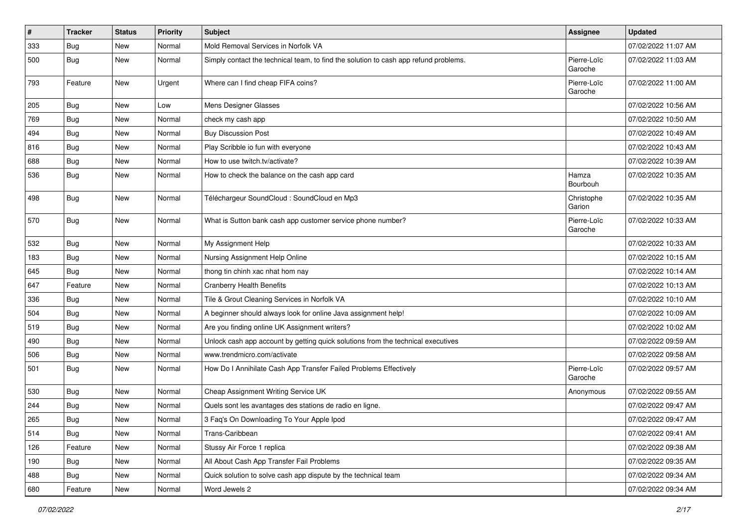| $\vert$ # | <b>Tracker</b> | <b>Status</b> | <b>Priority</b> | <b>Subject</b>                                                                       | <b>Assignee</b>        | <b>Updated</b>      |
|-----------|----------------|---------------|-----------------|--------------------------------------------------------------------------------------|------------------------|---------------------|
| 333       | <b>Bug</b>     | New           | Normal          | Mold Removal Services in Norfolk VA                                                  |                        | 07/02/2022 11:07 AM |
| 500       | Bug            | New           | Normal          | Simply contact the technical team, to find the solution to cash app refund problems. | Pierre-Loïc<br>Garoche | 07/02/2022 11:03 AM |
| 793       | Feature        | New           | Urgent          | Where can I find cheap FIFA coins?                                                   | Pierre-Loïc<br>Garoche | 07/02/2022 11:00 AM |
| 205       | <b>Bug</b>     | New           | Low             | Mens Designer Glasses                                                                |                        | 07/02/2022 10:56 AM |
| 769       | <b>Bug</b>     | New           | Normal          | check my cash app                                                                    |                        | 07/02/2022 10:50 AM |
| 494       | <b>Bug</b>     | New           | Normal          | <b>Buy Discussion Post</b>                                                           |                        | 07/02/2022 10:49 AM |
| 816       | <b>Bug</b>     | New           | Normal          | Play Scribble io fun with everyone                                                   |                        | 07/02/2022 10:43 AM |
| 688       | <b>Bug</b>     | New           | Normal          | How to use twitch.tv/activate?                                                       |                        | 07/02/2022 10:39 AM |
| 536       | <b>Bug</b>     | New           | Normal          | How to check the balance on the cash app card                                        | Hamza<br>Bourbouh      | 07/02/2022 10:35 AM |
| 498       | Bug            | New           | Normal          | Téléchargeur SoundCloud : SoundCloud en Mp3                                          | Christophe<br>Garion   | 07/02/2022 10:35 AM |
| 570       | Bug            | New           | Normal          | What is Sutton bank cash app customer service phone number?                          | Pierre-Loïc<br>Garoche | 07/02/2022 10:33 AM |
| 532       | <b>Bug</b>     | New           | Normal          | My Assignment Help                                                                   |                        | 07/02/2022 10:33 AM |
| 183       | <b>Bug</b>     | New           | Normal          | Nursing Assignment Help Online                                                       |                        | 07/02/2022 10:15 AM |
| 645       | <b>Bug</b>     | New           | Normal          | thong tin chinh xac nhat hom nay                                                     |                        | 07/02/2022 10:14 AM |
| 647       | Feature        | New           | Normal          | <b>Cranberry Health Benefits</b>                                                     |                        | 07/02/2022 10:13 AM |
| 336       | <b>Bug</b>     | New           | Normal          | Tile & Grout Cleaning Services in Norfolk VA                                         |                        | 07/02/2022 10:10 AM |
| 504       | <b>Bug</b>     | New           | Normal          | A beginner should always look for online Java assignment help!                       |                        | 07/02/2022 10:09 AM |
| 519       | <b>Bug</b>     | New           | Normal          | Are you finding online UK Assignment writers?                                        |                        | 07/02/2022 10:02 AM |
| 490       | <b>Bug</b>     | New           | Normal          | Unlock cash app account by getting quick solutions from the technical executives     |                        | 07/02/2022 09:59 AM |
| 506       | <b>Bug</b>     | New           | Normal          | www.trendmicro.com/activate                                                          |                        | 07/02/2022 09:58 AM |
| 501       | Bug            | New           | Normal          | How Do I Annihilate Cash App Transfer Failed Problems Effectively                    | Pierre-Loïc<br>Garoche | 07/02/2022 09:57 AM |
| 530       | <b>Bug</b>     | New           | Normal          | Cheap Assignment Writing Service UK                                                  | Anonymous              | 07/02/2022 09:55 AM |
| 244       | <b>Bug</b>     | New           | Normal          | Quels sont les avantages des stations de radio en ligne.                             |                        | 07/02/2022 09:47 AM |
| 265       | <b>Bug</b>     | New           | Normal          | 3 Faq's On Downloading To Your Apple Ipod                                            |                        | 07/02/2022 09:47 AM |
| 514       | Bug            | New           | Normal          | Trans-Caribbean                                                                      |                        | 07/02/2022 09:41 AM |
| 126       | Feature        | New           | Normal          | Stussy Air Force 1 replica                                                           |                        | 07/02/2022 09:38 AM |
| 190       | Bug            | New           | Normal          | All About Cash App Transfer Fail Problems                                            |                        | 07/02/2022 09:35 AM |
| 488       | Bug            | New           | Normal          | Quick solution to solve cash app dispute by the technical team                       |                        | 07/02/2022 09:34 AM |
| 680       | Feature        | New           | Normal          | Word Jewels 2                                                                        |                        | 07/02/2022 09:34 AM |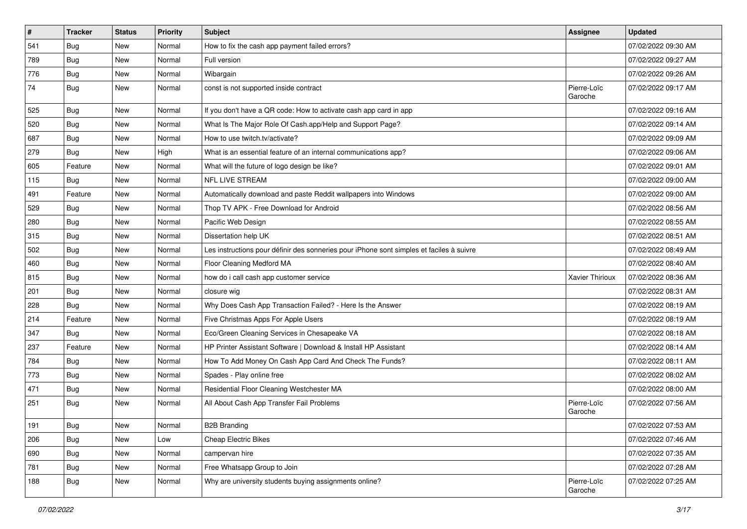| $\sharp$ | <b>Tracker</b> | <b>Status</b> | Priority | <b>Subject</b>                                                                           | Assignee               | <b>Updated</b>      |
|----------|----------------|---------------|----------|------------------------------------------------------------------------------------------|------------------------|---------------------|
| 541      | <b>Bug</b>     | New           | Normal   | How to fix the cash app payment failed errors?                                           |                        | 07/02/2022 09:30 AM |
| 789      | Bug            | New           | Normal   | Full version                                                                             |                        | 07/02/2022 09:27 AM |
| 776      | Bug            | New           | Normal   | Wibargain                                                                                |                        | 07/02/2022 09:26 AM |
| 74       | <b>Bug</b>     | New           | Normal   | const is not supported inside contract                                                   | Pierre-Loïc<br>Garoche | 07/02/2022 09:17 AM |
| 525      | Bug            | New           | Normal   | If you don't have a QR code: How to activate cash app card in app                        |                        | 07/02/2022 09:16 AM |
| 520      | Bug            | New           | Normal   | What Is The Major Role Of Cash.app/Help and Support Page?                                |                        | 07/02/2022 09:14 AM |
| 687      | Bug            | New           | Normal   | How to use twitch.tv/activate?                                                           |                        | 07/02/2022 09:09 AM |
| 279      | <b>Bug</b>     | New           | High     | What is an essential feature of an internal communications app?                          |                        | 07/02/2022 09:06 AM |
| 605      | Feature        | <b>New</b>    | Normal   | What will the future of logo design be like?                                             |                        | 07/02/2022 09:01 AM |
| 115      | Bug            | New           | Normal   | <b>NFL LIVE STREAM</b>                                                                   |                        | 07/02/2022 09:00 AM |
| 491      | Feature        | New           | Normal   | Automatically download and paste Reddit wallpapers into Windows                          |                        | 07/02/2022 09:00 AM |
| 529      | Bug            | New           | Normal   | Thop TV APK - Free Download for Android                                                  |                        | 07/02/2022 08:56 AM |
| 280      | <b>Bug</b>     | New           | Normal   | Pacific Web Design                                                                       |                        | 07/02/2022 08:55 AM |
| 315      | Bug            | New           | Normal   | Dissertation help UK                                                                     |                        | 07/02/2022 08:51 AM |
| 502      | Bug            | New           | Normal   | Les instructions pour définir des sonneries pour iPhone sont simples et faciles à suivre |                        | 07/02/2022 08:49 AM |
| 460      | <b>Bug</b>     | New           | Normal   | Floor Cleaning Medford MA                                                                |                        | 07/02/2022 08:40 AM |
| 815      | Bug            | New           | Normal   | how do i call cash app customer service                                                  | Xavier Thirioux        | 07/02/2022 08:36 AM |
| 201      | Bug            | New           | Normal   | closure wig                                                                              |                        | 07/02/2022 08:31 AM |
| 228      | Bug            | New           | Normal   | Why Does Cash App Transaction Failed? - Here Is the Answer                               |                        | 07/02/2022 08:19 AM |
| 214      | Feature        | New           | Normal   | Five Christmas Apps For Apple Users                                                      |                        | 07/02/2022 08:19 AM |
| 347      | Bug            | New           | Normal   | Eco/Green Cleaning Services in Chesapeake VA                                             |                        | 07/02/2022 08:18 AM |
| 237      | Feature        | New           | Normal   | HP Printer Assistant Software   Download & Install HP Assistant                          |                        | 07/02/2022 08:14 AM |
| 784      | <b>Bug</b>     | New           | Normal   | How To Add Money On Cash App Card And Check The Funds?                                   |                        | 07/02/2022 08:11 AM |
| 773      | Bug            | New           | Normal   | Spades - Play online free                                                                |                        | 07/02/2022 08:02 AM |
| 471      | Bug            | New           | Normal   | Residential Floor Cleaning Westchester MA                                                |                        | 07/02/2022 08:00 AM |
| 251      | <b>Bug</b>     | New           | Normal   | All About Cash App Transfer Fail Problems                                                | Pierre-Loïc<br>Garoche | 07/02/2022 07:56 AM |
| 191      | Bug            | New           | Normal   | <b>B2B Branding</b>                                                                      |                        | 07/02/2022 07:53 AM |
| 206      | Bug            | New           | Low      | <b>Cheap Electric Bikes</b>                                                              |                        | 07/02/2022 07:46 AM |
| 690      | Bug            | New           | Normal   | campervan hire                                                                           |                        | 07/02/2022 07:35 AM |
| 781      | <b>Bug</b>     | New           | Normal   | Free Whatsapp Group to Join                                                              |                        | 07/02/2022 07:28 AM |
| 188      | <b>Bug</b>     | New           | Normal   | Why are university students buying assignments online?                                   | Pierre-Loïc<br>Garoche | 07/02/2022 07:25 AM |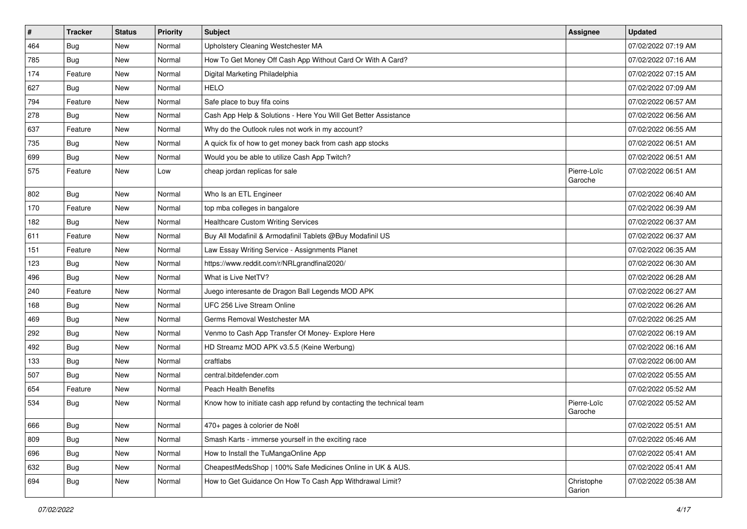| #   | <b>Tracker</b> | <b>Status</b> | <b>Priority</b> | Subject                                                               | <b>Assignee</b>        | <b>Updated</b>      |
|-----|----------------|---------------|-----------------|-----------------------------------------------------------------------|------------------------|---------------------|
| 464 | <b>Bug</b>     | New           | Normal          | Upholstery Cleaning Westchester MA                                    |                        | 07/02/2022 07:19 AM |
| 785 | Bug            | New           | Normal          | How To Get Money Off Cash App Without Card Or With A Card?            |                        | 07/02/2022 07:16 AM |
| 174 | Feature        | New           | Normal          | Digital Marketing Philadelphia                                        |                        | 07/02/2022 07:15 AM |
| 627 | <b>Bug</b>     | New           | Normal          | <b>HELO</b>                                                           |                        | 07/02/2022 07:09 AM |
| 794 | Feature        | New           | Normal          | Safe place to buy fifa coins                                          |                        | 07/02/2022 06:57 AM |
| 278 | <b>Bug</b>     | New           | Normal          | Cash App Help & Solutions - Here You Will Get Better Assistance       |                        | 07/02/2022 06:56 AM |
| 637 | Feature        | New           | Normal          | Why do the Outlook rules not work in my account?                      |                        | 07/02/2022 06:55 AM |
| 735 | Bug            | New           | Normal          | A quick fix of how to get money back from cash app stocks             |                        | 07/02/2022 06:51 AM |
| 699 | Bug            | New           | Normal          | Would you be able to utilize Cash App Twitch?                         |                        | 07/02/2022 06:51 AM |
| 575 | Feature        | New           | Low             | cheap jordan replicas for sale                                        | Pierre-Loïc<br>Garoche | 07/02/2022 06:51 AM |
| 802 | Bug            | New           | Normal          | Who Is an ETL Engineer                                                |                        | 07/02/2022 06:40 AM |
| 170 | Feature        | New           | Normal          | top mba colleges in bangalore                                         |                        | 07/02/2022 06:39 AM |
| 182 | <b>Bug</b>     | New           | Normal          | <b>Healthcare Custom Writing Services</b>                             |                        | 07/02/2022 06:37 AM |
| 611 | Feature        | New           | Normal          | Buy All Modafinil & Armodafinil Tablets @Buy Modafinil US             |                        | 07/02/2022 06:37 AM |
| 151 | Feature        | New           | Normal          | Law Essay Writing Service - Assignments Planet                        |                        | 07/02/2022 06:35 AM |
| 123 | <b>Bug</b>     | New           | Normal          | https://www.reddit.com/r/NRLgrandfinal2020/                           |                        | 07/02/2022 06:30 AM |
| 496 | Bug            | New           | Normal          | What is Live NetTV?                                                   |                        | 07/02/2022 06:28 AM |
| 240 | Feature        | New           | Normal          | Juego interesante de Dragon Ball Legends MOD APK                      |                        | 07/02/2022 06:27 AM |
| 168 | <b>Bug</b>     | New           | Normal          | UFC 256 Live Stream Online                                            |                        | 07/02/2022 06:26 AM |
| 469 | Bug            | New           | Normal          | Germs Removal Westchester MA                                          |                        | 07/02/2022 06:25 AM |
| 292 | Bug            | New           | Normal          | Venmo to Cash App Transfer Of Money- Explore Here                     |                        | 07/02/2022 06:19 AM |
| 492 | <b>Bug</b>     | New           | Normal          | HD Streamz MOD APK v3.5.5 (Keine Werbung)                             |                        | 07/02/2022 06:16 AM |
| 133 | <b>Bug</b>     | New           | Normal          | craftlabs                                                             |                        | 07/02/2022 06:00 AM |
| 507 | <b>Bug</b>     | New           | Normal          | central.bitdefender.com                                               |                        | 07/02/2022 05:55 AM |
| 654 | Feature        | New           | Normal          | Peach Health Benefits                                                 |                        | 07/02/2022 05:52 AM |
| 534 | <b>Bug</b>     | New           | Normal          | Know how to initiate cash app refund by contacting the technical team | Pierre-Loïc<br>Garoche | 07/02/2022 05:52 AM |
| 666 | Bug            | New           | Normal          | 470+ pages à colorier de Noël                                         |                        | 07/02/2022 05:51 AM |
| 809 | Bug            | New           | Normal          | Smash Karts - immerse yourself in the exciting race                   |                        | 07/02/2022 05:46 AM |
| 696 | Bug            | New           | Normal          | How to Install the TuMangaOnline App                                  |                        | 07/02/2022 05:41 AM |
| 632 | <b>Bug</b>     | New           | Normal          | CheapestMedsShop   100% Safe Medicines Online in UK & AUS.            |                        | 07/02/2022 05:41 AM |
| 694 | Bug            | New           | Normal          | How to Get Guidance On How To Cash App Withdrawal Limit?              | Christophe<br>Garion   | 07/02/2022 05:38 AM |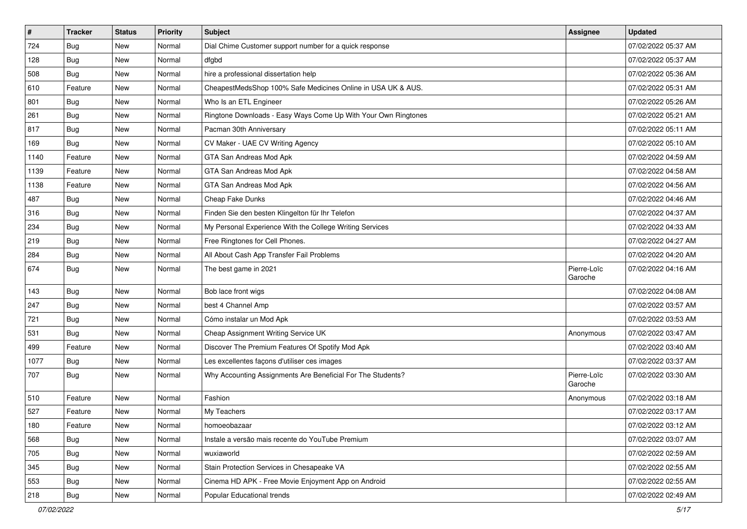| #    | <b>Tracker</b> | <b>Status</b> | <b>Priority</b> | Subject                                                        | <b>Assignee</b>        | <b>Updated</b>      |
|------|----------------|---------------|-----------------|----------------------------------------------------------------|------------------------|---------------------|
| 724  | <b>Bug</b>     | New           | Normal          | Dial Chime Customer support number for a quick response        |                        | 07/02/2022 05:37 AM |
| 128  | Bug            | New           | Normal          | dfgbd                                                          |                        | 07/02/2022 05:37 AM |
| 508  | Bug            | New           | Normal          | hire a professional dissertation help                          |                        | 07/02/2022 05:36 AM |
| 610  | Feature        | New           | Normal          | CheapestMedsShop 100% Safe Medicines Online in USA UK & AUS.   |                        | 07/02/2022 05:31 AM |
| 801  | Bug            | New           | Normal          | Who Is an ETL Engineer                                         |                        | 07/02/2022 05:26 AM |
| 261  | <b>Bug</b>     | New           | Normal          | Ringtone Downloads - Easy Ways Come Up With Your Own Ringtones |                        | 07/02/2022 05:21 AM |
| 817  | <b>Bug</b>     | New           | Normal          | Pacman 30th Anniversary                                        |                        | 07/02/2022 05:11 AM |
| 169  | Bug            | New           | Normal          | CV Maker - UAE CV Writing Agency                               |                        | 07/02/2022 05:10 AM |
| 1140 | Feature        | New           | Normal          | GTA San Andreas Mod Apk                                        |                        | 07/02/2022 04:59 AM |
| 1139 | Feature        | New           | Normal          | GTA San Andreas Mod Apk                                        |                        | 07/02/2022 04:58 AM |
| 1138 | Feature        | New           | Normal          | GTA San Andreas Mod Apk                                        |                        | 07/02/2022 04:56 AM |
| 487  | <b>Bug</b>     | New           | Normal          | Cheap Fake Dunks                                               |                        | 07/02/2022 04:46 AM |
| 316  | Bug            | New           | Normal          | Finden Sie den besten Klingelton für Ihr Telefon               |                        | 07/02/2022 04:37 AM |
| 234  | Bug            | New           | Normal          | My Personal Experience With the College Writing Services       |                        | 07/02/2022 04:33 AM |
| 219  | <b>Bug</b>     | New           | Normal          | Free Ringtones for Cell Phones.                                |                        | 07/02/2022 04:27 AM |
| 284  | Bug            | New           | Normal          | All About Cash App Transfer Fail Problems                      |                        | 07/02/2022 04:20 AM |
| 674  | Bug            | New           | Normal          | The best game in 2021                                          | Pierre-Loïc<br>Garoche | 07/02/2022 04:16 AM |
| 143  | <b>Bug</b>     | New           | Normal          | Bob lace front wigs                                            |                        | 07/02/2022 04:08 AM |
| 247  | <b>Bug</b>     | New           | Normal          | best 4 Channel Amp                                             |                        | 07/02/2022 03:57 AM |
| 721  | Bug            | New           | Normal          | Cómo instalar un Mod Apk                                       |                        | 07/02/2022 03:53 AM |
| 531  | Bug            | New           | Normal          | Cheap Assignment Writing Service UK                            | Anonymous              | 07/02/2022 03:47 AM |
| 499  | Feature        | New           | Normal          | Discover The Premium Features Of Spotify Mod Apk               |                        | 07/02/2022 03:40 AM |
| 1077 | <b>Bug</b>     | New           | Normal          | Les excellentes façons d'utiliser ces images                   |                        | 07/02/2022 03:37 AM |
| 707  | <b>Bug</b>     | New           | Normal          | Why Accounting Assignments Are Beneficial For The Students?    | Pierre-Loïc<br>Garoche | 07/02/2022 03:30 AM |
| 510  | Feature        | New           | Normal          | Fashion                                                        | Anonymous              | 07/02/2022 03:18 AM |
| 527  | Feature        | New           | Normal          | My Teachers                                                    |                        | 07/02/2022 03:17 AM |
| 180  | Feature        | New           | Normal          | homoeobazaar                                                   |                        | 07/02/2022 03:12 AM |
| 568  | Bug            | New           | Normal          | Instale a versão mais recente do YouTube Premium               |                        | 07/02/2022 03:07 AM |
| 705  | Bug            | New           | Normal          | wuxiaworld                                                     |                        | 07/02/2022 02:59 AM |
| 345  | Bug            | New           | Normal          | Stain Protection Services in Chesapeake VA                     |                        | 07/02/2022 02:55 AM |
| 553  | Bug            | New           | Normal          | Cinema HD APK - Free Movie Enjoyment App on Android            |                        | 07/02/2022 02:55 AM |
| 218  | Bug            | New           | Normal          | Popular Educational trends                                     |                        | 07/02/2022 02:49 AM |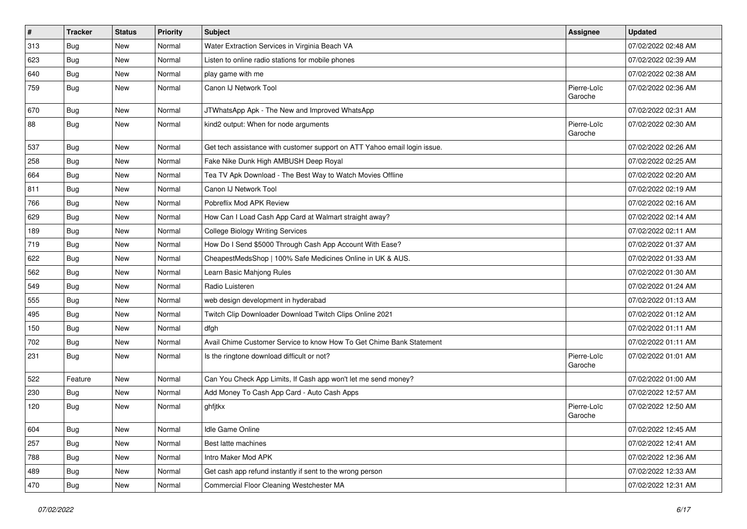| $\pmb{\#}$ | <b>Tracker</b> | <b>Status</b> | Priority | <b>Subject</b>                                                            | <b>Assignee</b>        | <b>Updated</b>      |
|------------|----------------|---------------|----------|---------------------------------------------------------------------------|------------------------|---------------------|
| 313        | <b>Bug</b>     | New           | Normal   | Water Extraction Services in Virginia Beach VA                            |                        | 07/02/2022 02:48 AM |
| 623        | Bug            | New           | Normal   | Listen to online radio stations for mobile phones                         |                        | 07/02/2022 02:39 AM |
| 640        | Bug            | New           | Normal   | play game with me                                                         |                        | 07/02/2022 02:38 AM |
| 759        | <b>Bug</b>     | New           | Normal   | Canon IJ Network Tool                                                     | Pierre-Loïc<br>Garoche | 07/02/2022 02:36 AM |
| 670        | <b>Bug</b>     | New           | Normal   | JTWhatsApp Apk - The New and Improved WhatsApp                            |                        | 07/02/2022 02:31 AM |
| 88         | Bug            | New           | Normal   | kind2 output: When for node arguments                                     | Pierre-Loïc<br>Garoche | 07/02/2022 02:30 AM |
| 537        | Bug            | New           | Normal   | Get tech assistance with customer support on ATT Yahoo email login issue. |                        | 07/02/2022 02:26 AM |
| 258        | Bug            | New           | Normal   | Fake Nike Dunk High AMBUSH Deep Royal                                     |                        | 07/02/2022 02:25 AM |
| 664        | Bug            | New           | Normal   | Tea TV Apk Download - The Best Way to Watch Movies Offline                |                        | 07/02/2022 02:20 AM |
| 811        | <b>Bug</b>     | New           | Normal   | Canon IJ Network Tool                                                     |                        | 07/02/2022 02:19 AM |
| 766        | Bug            | New           | Normal   | Pobreflix Mod APK Review                                                  |                        | 07/02/2022 02:16 AM |
| 629        | <b>Bug</b>     | New           | Normal   | How Can I Load Cash App Card at Walmart straight away?                    |                        | 07/02/2022 02:14 AM |
| 189        | Bug            | New           | Normal   | <b>College Biology Writing Services</b>                                   |                        | 07/02/2022 02:11 AM |
| 719        | Bug            | New           | Normal   | How Do I Send \$5000 Through Cash App Account With Ease?                  |                        | 07/02/2022 01:37 AM |
| 622        | Bug            | New           | Normal   | CheapestMedsShop   100% Safe Medicines Online in UK & AUS.                |                        | 07/02/2022 01:33 AM |
| 562        | Bug            | New           | Normal   | Learn Basic Mahjong Rules                                                 |                        | 07/02/2022 01:30 AM |
| 549        | <b>Bug</b>     | New           | Normal   | Radio Luisteren                                                           |                        | 07/02/2022 01:24 AM |
| 555        | <b>Bug</b>     | New           | Normal   | web design development in hyderabad                                       |                        | 07/02/2022 01:13 AM |
| 495        | Bug            | New           | Normal   | Twitch Clip Downloader Download Twitch Clips Online 2021                  |                        | 07/02/2022 01:12 AM |
| 150        | <b>Bug</b>     | New           | Normal   | dfgh                                                                      |                        | 07/02/2022 01:11 AM |
| 702        | Bug            | New           | Normal   | Avail Chime Customer Service to know How To Get Chime Bank Statement      |                        | 07/02/2022 01:11 AM |
| 231        | Bug            | New           | Normal   | Is the ringtone download difficult or not?                                | Pierre-Loïc<br>Garoche | 07/02/2022 01:01 AM |
| 522        | Feature        | <b>New</b>    | Normal   | Can You Check App Limits, If Cash app won't let me send money?            |                        | 07/02/2022 01:00 AM |
| 230        | Bug            | New           | Normal   | Add Money To Cash App Card - Auto Cash Apps                               |                        | 07/02/2022 12:57 AM |
| 120        | <b>Bug</b>     | New           | Normal   | ghfjtkx                                                                   | Pierre-Loïc<br>Garoche | 07/02/2022 12:50 AM |
| 604        | <b>Bug</b>     | New           | Normal   | Idle Game Online                                                          |                        | 07/02/2022 12:45 AM |
| 257        | Bug            | New           | Normal   | Best latte machines                                                       |                        | 07/02/2022 12:41 AM |
| 788        | <b>Bug</b>     | New           | Normal   | Intro Maker Mod APK                                                       |                        | 07/02/2022 12:36 AM |
| 489        | Bug            | New           | Normal   | Get cash app refund instantly if sent to the wrong person                 |                        | 07/02/2022 12:33 AM |
| 470        | Bug            | New           | Normal   | Commercial Floor Cleaning Westchester MA                                  |                        | 07/02/2022 12:31 AM |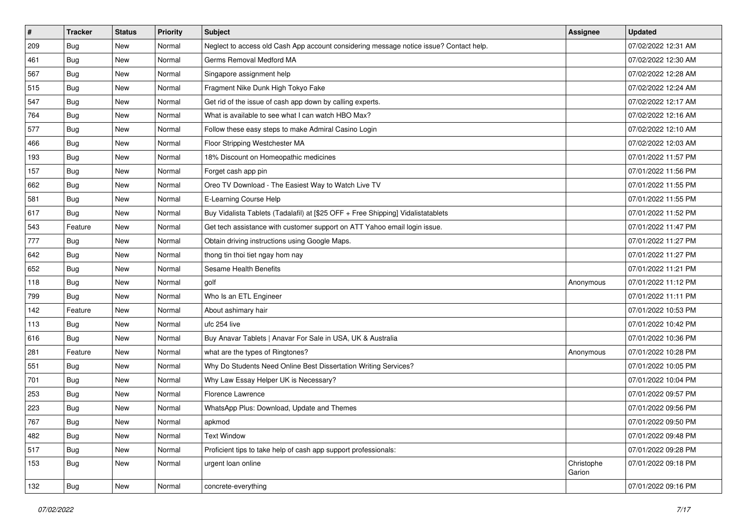| #   | <b>Tracker</b> | <b>Status</b> | <b>Priority</b> | <b>Subject</b>                                                                         | <b>Assignee</b>      | <b>Updated</b>      |
|-----|----------------|---------------|-----------------|----------------------------------------------------------------------------------------|----------------------|---------------------|
| 209 | <b>Bug</b>     | New           | Normal          | Neglect to access old Cash App account considering message notice issue? Contact help. |                      | 07/02/2022 12:31 AM |
| 461 | Bug            | New           | Normal          | Germs Removal Medford MA                                                               |                      | 07/02/2022 12:30 AM |
| 567 | <b>Bug</b>     | New           | Normal          | Singapore assignment help                                                              |                      | 07/02/2022 12:28 AM |
| 515 | <b>Bug</b>     | New           | Normal          | Fragment Nike Dunk High Tokyo Fake                                                     |                      | 07/02/2022 12:24 AM |
| 547 | Bug            | New           | Normal          | Get rid of the issue of cash app down by calling experts.                              |                      | 07/02/2022 12:17 AM |
| 764 | Bug            | New           | Normal          | What is available to see what I can watch HBO Max?                                     |                      | 07/02/2022 12:16 AM |
| 577 | <b>Bug</b>     | New           | Normal          | Follow these easy steps to make Admiral Casino Login                                   |                      | 07/02/2022 12:10 AM |
| 466 | <b>Bug</b>     | New           | Normal          | Floor Stripping Westchester MA                                                         |                      | 07/02/2022 12:03 AM |
| 193 | Bug            | New           | Normal          | 18% Discount on Homeopathic medicines                                                  |                      | 07/01/2022 11:57 PM |
| 157 | <b>Bug</b>     | New           | Normal          | Forget cash app pin                                                                    |                      | 07/01/2022 11:56 PM |
| 662 | <b>Bug</b>     | New           | Normal          | Oreo TV Download - The Easiest Way to Watch Live TV                                    |                      | 07/01/2022 11:55 PM |
| 581 | Bug            | New           | Normal          | E-Learning Course Help                                                                 |                      | 07/01/2022 11:55 PM |
| 617 | <b>Bug</b>     | New           | Normal          | Buy Vidalista Tablets (Tadalafil) at [\$25 OFF + Free Shipping] Vidalistatablets       |                      | 07/01/2022 11:52 PM |
| 543 | Feature        | New           | Normal          | Get tech assistance with customer support on ATT Yahoo email login issue.              |                      | 07/01/2022 11:47 PM |
| 777 | Bug            | New           | Normal          | Obtain driving instructions using Google Maps.                                         |                      | 07/01/2022 11:27 PM |
| 642 | <b>Bug</b>     | New           | Normal          | thong tin thoi tiet ngay hom nay                                                       |                      | 07/01/2022 11:27 PM |
| 652 | <b>Bug</b>     | New           | Normal          | <b>Sesame Health Benefits</b>                                                          |                      | 07/01/2022 11:21 PM |
| 118 | Bug            | New           | Normal          | golf                                                                                   | Anonymous            | 07/01/2022 11:12 PM |
| 799 | <b>Bug</b>     | New           | Normal          | Who Is an ETL Engineer                                                                 |                      | 07/01/2022 11:11 PM |
| 142 | Feature        | New           | Normal          | About ashimary hair                                                                    |                      | 07/01/2022 10:53 PM |
| 113 | <b>Bug</b>     | New           | Normal          | ufc 254 live                                                                           |                      | 07/01/2022 10:42 PM |
| 616 | Bug            | New           | Normal          | Buy Anavar Tablets   Anavar For Sale in USA, UK & Australia                            |                      | 07/01/2022 10:36 PM |
| 281 | Feature        | New           | Normal          | what are the types of Ringtones?                                                       | Anonymous            | 07/01/2022 10:28 PM |
| 551 | <b>Bug</b>     | New           | Normal          | Why Do Students Need Online Best Dissertation Writing Services?                        |                      | 07/01/2022 10:05 PM |
| 701 | Bug            | New           | Normal          | Why Law Essay Helper UK is Necessary?                                                  |                      | 07/01/2022 10:04 PM |
| 253 | Bug            | New           | Normal          | Florence Lawrence                                                                      |                      | 07/01/2022 09:57 PM |
| 223 | Bug            | New           | Normal          | WhatsApp Plus: Download, Update and Themes                                             |                      | 07/01/2022 09:56 PM |
| 767 | Bug            | New           | Normal          | apkmod                                                                                 |                      | 07/01/2022 09:50 PM |
| 482 | Bug            | New           | Normal          | <b>Text Window</b>                                                                     |                      | 07/01/2022 09:48 PM |
| 517 | Bug            | New           | Normal          | Proficient tips to take help of cash app support professionals:                        |                      | 07/01/2022 09:28 PM |
| 153 | Bug            | New           | Normal          | urgent loan online                                                                     | Christophe<br>Garion | 07/01/2022 09:18 PM |
| 132 | Bug            | New           | Normal          | concrete-everything                                                                    |                      | 07/01/2022 09:16 PM |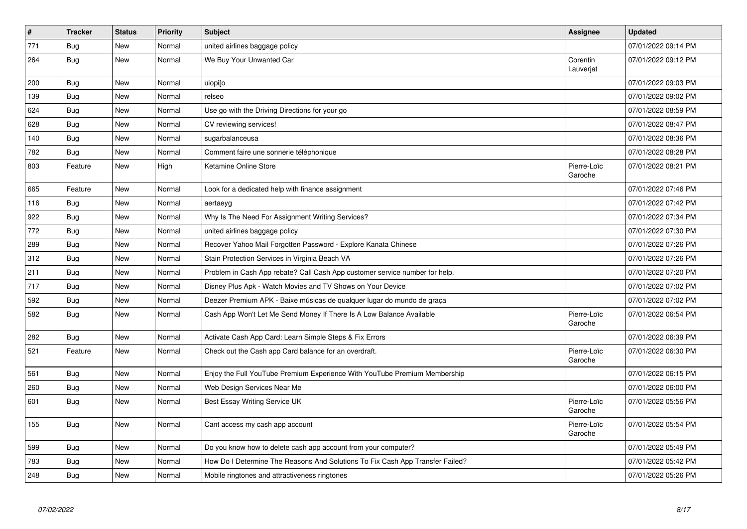| #   | <b>Tracker</b> | <b>Status</b> | Priority | <b>Subject</b>                                                                | <b>Assignee</b>        | <b>Updated</b>      |
|-----|----------------|---------------|----------|-------------------------------------------------------------------------------|------------------------|---------------------|
| 771 | Bug            | New           | Normal   | united airlines baggage policy                                                |                        | 07/01/2022 09:14 PM |
| 264 | Bug            | New           | Normal   | We Buy Your Unwanted Car                                                      | Corentin<br>Lauverjat  | 07/01/2022 09:12 PM |
| 200 | Bug            | <b>New</b>    | Normal   | uiopi[o                                                                       |                        | 07/01/2022 09:03 PM |
| 139 | <b>Bug</b>     | New           | Normal   | relseo                                                                        |                        | 07/01/2022 09:02 PM |
| 624 | Bug            | New           | Normal   | Use go with the Driving Directions for your go                                |                        | 07/01/2022 08:59 PM |
| 628 | <b>Bug</b>     | New           | Normal   | CV reviewing services!                                                        |                        | 07/01/2022 08:47 PM |
| 140 | Bug            | New           | Normal   | sugarbalanceusa                                                               |                        | 07/01/2022 08:36 PM |
| 782 | <b>Bug</b>     | New           | Normal   | Comment faire une sonnerie téléphonique                                       |                        | 07/01/2022 08:28 PM |
| 803 | Feature        | New           | High     | Ketamine Online Store                                                         | Pierre-Loïc<br>Garoche | 07/01/2022 08:21 PM |
| 665 | Feature        | New           | Normal   | Look for a dedicated help with finance assignment                             |                        | 07/01/2022 07:46 PM |
| 116 | Bug            | New           | Normal   | aertaeyg                                                                      |                        | 07/01/2022 07:42 PM |
| 922 | Bug            | New           | Normal   | Why Is The Need For Assignment Writing Services?                              |                        | 07/01/2022 07:34 PM |
| 772 | <b>Bug</b>     | <b>New</b>    | Normal   | united airlines baggage policy                                                |                        | 07/01/2022 07:30 PM |
| 289 | <b>Bug</b>     | New           | Normal   | Recover Yahoo Mail Forgotten Password - Explore Kanata Chinese                |                        | 07/01/2022 07:26 PM |
| 312 | <b>Bug</b>     | New           | Normal   | Stain Protection Services in Virginia Beach VA                                |                        | 07/01/2022 07:26 PM |
| 211 | Bug            | New           | Normal   | Problem in Cash App rebate? Call Cash App customer service number for help.   |                        | 07/01/2022 07:20 PM |
| 717 | <b>Bug</b>     | <b>New</b>    | Normal   | Disney Plus Apk - Watch Movies and TV Shows on Your Device                    |                        | 07/01/2022 07:02 PM |
| 592 | Bug            | New           | Normal   | Deezer Premium APK - Baixe músicas de qualquer lugar do mundo de graça        |                        | 07/01/2022 07:02 PM |
| 582 | <b>Bug</b>     | New           | Normal   | Cash App Won't Let Me Send Money If There Is A Low Balance Available          | Pierre-Loïc<br>Garoche | 07/01/2022 06:54 PM |
| 282 | <b>Bug</b>     | <b>New</b>    | Normal   | Activate Cash App Card: Learn Simple Steps & Fix Errors                       |                        | 07/01/2022 06:39 PM |
| 521 | Feature        | New           | Normal   | Check out the Cash app Card balance for an overdraft.                         | Pierre-Loïc<br>Garoche | 07/01/2022 06:30 PM |
| 561 | <b>Bug</b>     | New           | Normal   | Enjoy the Full YouTube Premium Experience With YouTube Premium Membership     |                        | 07/01/2022 06:15 PM |
| 260 | Bug            | New           | Normal   | Web Design Services Near Me                                                   |                        | 07/01/2022 06:00 PM |
| 601 | <b>Bug</b>     | New           | Normal   | Best Essay Writing Service UK                                                 | Pierre-Loïc<br>Garoche | 07/01/2022 05:56 PM |
| 155 | Bug            | New           | Normal   | Cant access my cash app account                                               | Pierre-Loïc<br>Garoche | 07/01/2022 05:54 PM |
| 599 | <b>Bug</b>     | New           | Normal   | Do you know how to delete cash app account from your computer?                |                        | 07/01/2022 05:49 PM |
| 783 | Bug            | New           | Normal   | How Do I Determine The Reasons And Solutions To Fix Cash App Transfer Failed? |                        | 07/01/2022 05:42 PM |
| 248 | <b>Bug</b>     | New           | Normal   | Mobile ringtones and attractiveness ringtones                                 |                        | 07/01/2022 05:26 PM |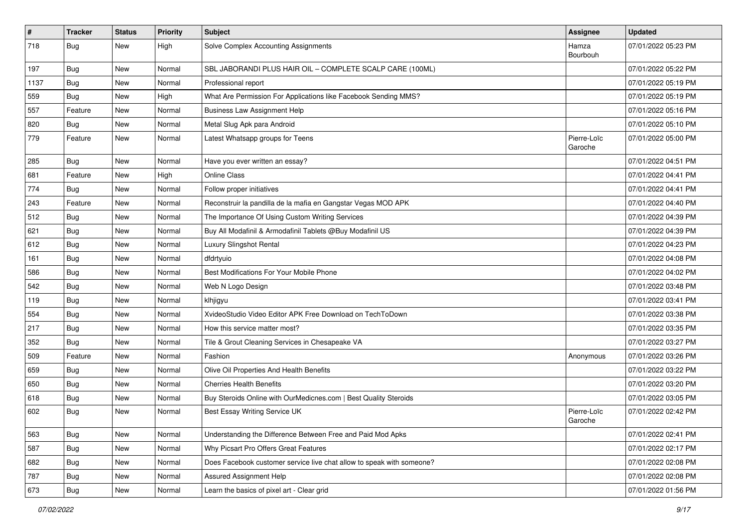| $\vert$ # | <b>Tracker</b> | <b>Status</b> | <b>Priority</b> | <b>Subject</b>                                                        | Assignee               | <b>Updated</b>      |
|-----------|----------------|---------------|-----------------|-----------------------------------------------------------------------|------------------------|---------------------|
| 718       | Bug            | New           | High            | Solve Complex Accounting Assignments                                  | Hamza<br>Bourbouh      | 07/01/2022 05:23 PM |
| 197       | Bug            | New           | Normal          | SBL JABORANDI PLUS HAIR OIL - COMPLETE SCALP CARE (100ML)             |                        | 07/01/2022 05:22 PM |
| 1137      | <b>Bug</b>     | New           | Normal          | Professional report                                                   |                        | 07/01/2022 05:19 PM |
| 559       | Bug            | New           | High            | What Are Permission For Applications like Facebook Sending MMS?       |                        | 07/01/2022 05:19 PM |
| 557       | Feature        | New           | Normal          | <b>Business Law Assignment Help</b>                                   |                        | 07/01/2022 05:16 PM |
| 820       | Bug            | New           | Normal          | Metal Slug Apk para Android                                           |                        | 07/01/2022 05:10 PM |
| 779       | Feature        | New           | Normal          | Latest Whatsapp groups for Teens                                      | Pierre-Loïc<br>Garoche | 07/01/2022 05:00 PM |
| 285       | Bug            | <b>New</b>    | Normal          | Have you ever written an essay?                                       |                        | 07/01/2022 04:51 PM |
| 681       | Feature        | New           | High            | <b>Online Class</b>                                                   |                        | 07/01/2022 04:41 PM |
| 774       | <b>Bug</b>     | New           | Normal          | Follow proper initiatives                                             |                        | 07/01/2022 04:41 PM |
| 243       | Feature        | New           | Normal          | Reconstruir la pandilla de la mafia en Gangstar Vegas MOD APK         |                        | 07/01/2022 04:40 PM |
| 512       | Bug            | New           | Normal          | The Importance Of Using Custom Writing Services                       |                        | 07/01/2022 04:39 PM |
| 621       | Bug            | New           | Normal          | Buy All Modafinil & Armodafinil Tablets @Buy Modafinil US             |                        | 07/01/2022 04:39 PM |
| 612       | <b>Bug</b>     | New           | Normal          | Luxury Slingshot Rental                                               |                        | 07/01/2022 04:23 PM |
| 161       | Bug            | New           | Normal          | dfdrtyuio                                                             |                        | 07/01/2022 04:08 PM |
| 586       | Bug            | New           | Normal          | Best Modifications For Your Mobile Phone                              |                        | 07/01/2022 04:02 PM |
| 542       | Bug            | New           | Normal          | Web N Logo Design                                                     |                        | 07/01/2022 03:48 PM |
| 119       | Bug            | New           | Normal          | klhjigyu                                                              |                        | 07/01/2022 03:41 PM |
| 554       | Bug            | New           | Normal          | XvideoStudio Video Editor APK Free Download on TechToDown             |                        | 07/01/2022 03:38 PM |
| 217       | <b>Bug</b>     | New           | Normal          | How this service matter most?                                         |                        | 07/01/2022 03:35 PM |
| 352       | Bug            | New           | Normal          | Tile & Grout Cleaning Services in Chesapeake VA                       |                        | 07/01/2022 03:27 PM |
| 509       | Feature        | New           | Normal          | Fashion                                                               | Anonymous              | 07/01/2022 03:26 PM |
| 659       | <b>Bug</b>     | New           | Normal          | Olive Oil Properties And Health Benefits                              |                        | 07/01/2022 03:22 PM |
| 650       | Bug            | New           | Normal          | <b>Cherries Health Benefits</b>                                       |                        | 07/01/2022 03:20 PM |
| 618       | Bug            | New           | Normal          | Buy Steroids Online with OurMedicnes.com   Best Quality Steroids      |                        | 07/01/2022 03:05 PM |
| 602       | Bug            | New           | Normal          | Best Essay Writing Service UK                                         | Pierre-Loïc<br>Garoche | 07/01/2022 02:42 PM |
| 563       | Bug            | New           | Normal          | Understanding the Difference Between Free and Paid Mod Apks           |                        | 07/01/2022 02:41 PM |
| 587       | Bug            | New           | Normal          | Why Picsart Pro Offers Great Features                                 |                        | 07/01/2022 02:17 PM |
| 682       | <b>Bug</b>     | New           | Normal          | Does Facebook customer service live chat allow to speak with someone? |                        | 07/01/2022 02:08 PM |
| 787       | Bug            | New           | Normal          | Assured Assignment Help                                               |                        | 07/01/2022 02:08 PM |
| 673       | Bug            | New           | Normal          | Learn the basics of pixel art - Clear grid                            |                        | 07/01/2022 01:56 PM |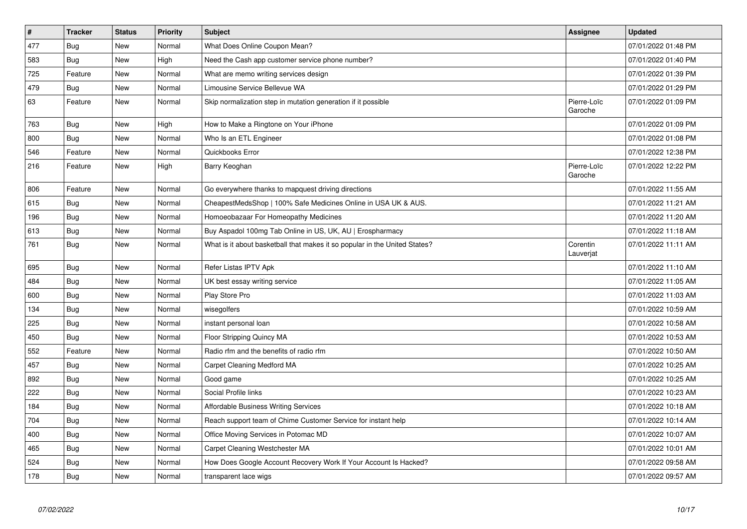| $\pmb{\#}$ | <b>Tracker</b> | <b>Status</b> | <b>Priority</b> | <b>Subject</b>                                                             | Assignee               | <b>Updated</b>      |
|------------|----------------|---------------|-----------------|----------------------------------------------------------------------------|------------------------|---------------------|
| 477        | <b>Bug</b>     | New           | Normal          | What Does Online Coupon Mean?                                              |                        | 07/01/2022 01:48 PM |
| 583        | <b>Bug</b>     | <b>New</b>    | High            | Need the Cash app customer service phone number?                           |                        | 07/01/2022 01:40 PM |
| 725        | Feature        | New           | Normal          | What are memo writing services design                                      |                        | 07/01/2022 01:39 PM |
| 479        | <b>Bug</b>     | <b>New</b>    | Normal          | Limousine Service Bellevue WA                                              |                        | 07/01/2022 01:29 PM |
| 63         | Feature        | <b>New</b>    | Normal          | Skip normalization step in mutation generation if it possible              | Pierre-Loïc<br>Garoche | 07/01/2022 01:09 PM |
| 763        | Bug            | New           | High            | How to Make a Ringtone on Your iPhone                                      |                        | 07/01/2022 01:09 PM |
| 800        | Bug            | New           | Normal          | Who Is an ETL Engineer                                                     |                        | 07/01/2022 01:08 PM |
| 546        | Feature        | <b>New</b>    | Normal          | Quickbooks Error                                                           |                        | 07/01/2022 12:38 PM |
| 216        | Feature        | New           | High            | Barry Keoghan                                                              | Pierre-Loïc<br>Garoche | 07/01/2022 12:22 PM |
| 806        | Feature        | New           | Normal          | Go everywhere thanks to mapquest driving directions                        |                        | 07/01/2022 11:55 AM |
| 615        | Bug            | New           | Normal          | CheapestMedsShop   100% Safe Medicines Online in USA UK & AUS.             |                        | 07/01/2022 11:21 AM |
| 196        | Bug            | <b>New</b>    | Normal          | Homoeobazaar For Homeopathy Medicines                                      |                        | 07/01/2022 11:20 AM |
| 613        | Bug            | <b>New</b>    | Normal          | Buy Aspadol 100mg Tab Online in US, UK, AU   Erospharmacy                  |                        | 07/01/2022 11:18 AM |
| 761        | <b>Bug</b>     | <b>New</b>    | Normal          | What is it about basketball that makes it so popular in the United States? | Corentin<br>Lauverjat  | 07/01/2022 11:11 AM |
| 695        | Bug            | <b>New</b>    | Normal          | Refer Listas IPTV Apk                                                      |                        | 07/01/2022 11:10 AM |
| 484        | Bug            | <b>New</b>    | Normal          | UK best essay writing service                                              |                        | 07/01/2022 11:05 AM |
| 600        | Bug            | New           | Normal          | Play Store Pro                                                             |                        | 07/01/2022 11:03 AM |
| 134        | Bug            | <b>New</b>    | Normal          | wisegolfers                                                                |                        | 07/01/2022 10:59 AM |
| 225        | <b>Bug</b>     | New           | Normal          | instant personal loan                                                      |                        | 07/01/2022 10:58 AM |
| 450        | <b>Bug</b>     | <b>New</b>    | Normal          | Floor Stripping Quincy MA                                                  |                        | 07/01/2022 10:53 AM |
| 552        | Feature        | <b>New</b>    | Normal          | Radio rfm and the benefits of radio rfm                                    |                        | 07/01/2022 10:50 AM |
| 457        | Bug            | New           | Normal          | Carpet Cleaning Medford MA                                                 |                        | 07/01/2022 10:25 AM |
| 892        | Bug            | <b>New</b>    | Normal          | Good game                                                                  |                        | 07/01/2022 10:25 AM |
| 222        | Bug            | New           | Normal          | Social Profile links                                                       |                        | 07/01/2022 10:23 AM |
| 184        | <b>Bug</b>     | New           | Normal          | <b>Affordable Business Writing Services</b>                                |                        | 07/01/2022 10:18 AM |
| 704        | Bug            | New           | Normal          | Reach support team of Chime Customer Service for instant help              |                        | 07/01/2022 10:14 AM |
| 400        | <b>Bug</b>     | New           | Normal          | Office Moving Services in Potomac MD                                       |                        | 07/01/2022 10:07 AM |
| 465        | Bug            | New           | Normal          | Carpet Cleaning Westchester MA                                             |                        | 07/01/2022 10:01 AM |
| 524        | <b>Bug</b>     | New           | Normal          | How Does Google Account Recovery Work If Your Account Is Hacked?           |                        | 07/01/2022 09:58 AM |
| 178        | Bug            | New           | Normal          | transparent lace wigs                                                      |                        | 07/01/2022 09:57 AM |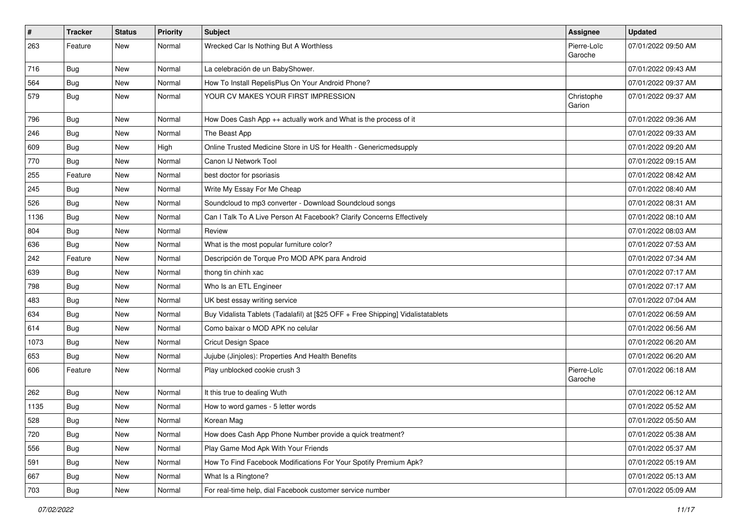| $\pmb{\#}$ | <b>Tracker</b> | <b>Status</b> | Priority | <b>Subject</b>                                                                   | Assignee               | <b>Updated</b>      |
|------------|----------------|---------------|----------|----------------------------------------------------------------------------------|------------------------|---------------------|
| 263        | Feature        | New           | Normal   | Wrecked Car Is Nothing But A Worthless                                           | Pierre-Loïc<br>Garoche | 07/01/2022 09:50 AM |
| 716        | <b>Bug</b>     | New           | Normal   | La celebración de un BabyShower.                                                 |                        | 07/01/2022 09:43 AM |
| 564        | Bug            | New           | Normal   | How To Install RepelisPlus On Your Android Phone?                                |                        | 07/01/2022 09:37 AM |
| 579        | Bug            | New           | Normal   | YOUR CV MAKES YOUR FIRST IMPRESSION                                              | Christophe<br>Garion   | 07/01/2022 09:37 AM |
| 796        | <b>Bug</b>     | New           | Normal   | How Does Cash App ++ actually work and What is the process of it                 |                        | 07/01/2022 09:36 AM |
| 246        | Bug            | New           | Normal   | The Beast App                                                                    |                        | 07/01/2022 09:33 AM |
| 609        | Bug            | New           | High     | Online Trusted Medicine Store in US for Health - Genericmedsupply                |                        | 07/01/2022 09:20 AM |
| 770        | Bug            | New           | Normal   | Canon IJ Network Tool                                                            |                        | 07/01/2022 09:15 AM |
| 255        | Feature        | New           | Normal   | best doctor for psoriasis                                                        |                        | 07/01/2022 08:42 AM |
| 245        | Bug            | New           | Normal   | Write My Essay For Me Cheap                                                      |                        | 07/01/2022 08:40 AM |
| 526        | Bug            | New           | Normal   | Soundcloud to mp3 converter - Download Soundcloud songs                          |                        | 07/01/2022 08:31 AM |
| 1136       | <b>Bug</b>     | New           | Normal   | Can I Talk To A Live Person At Facebook? Clarify Concerns Effectively            |                        | 07/01/2022 08:10 AM |
| 804        | Bug            | New           | Normal   | Review                                                                           |                        | 07/01/2022 08:03 AM |
| 636        | Bug            | New           | Normal   | What is the most popular furniture color?                                        |                        | 07/01/2022 07:53 AM |
| 242        | Feature        | New           | Normal   | Descripción de Torque Pro MOD APK para Android                                   |                        | 07/01/2022 07:34 AM |
| 639        | <b>Bug</b>     | New           | Normal   | thong tin chinh xac                                                              |                        | 07/01/2022 07:17 AM |
| 798        | Bug            | New           | Normal   | Who Is an ETL Engineer                                                           |                        | 07/01/2022 07:17 AM |
| 483        | Bug            | New           | Normal   | UK best essay writing service                                                    |                        | 07/01/2022 07:04 AM |
| 634        | Bug            | New           | Normal   | Buy Vidalista Tablets (Tadalafil) at [\$25 OFF + Free Shipping] Vidalistatablets |                        | 07/01/2022 06:59 AM |
| 614        | Bug            | New           | Normal   | Como baixar o MOD APK no celular                                                 |                        | 07/01/2022 06:56 AM |
| 1073       | Bug            | <b>New</b>    | Normal   | Cricut Design Space                                                              |                        | 07/01/2022 06:20 AM |
| 653        | <b>Bug</b>     | New           | Normal   | Jujube (Jinjoles): Properties And Health Benefits                                |                        | 07/01/2022 06:20 AM |
| 606        | Feature        | New           | Normal   | Play unblocked cookie crush 3                                                    | Pierre-Loïc<br>Garoche | 07/01/2022 06:18 AM |
| 262        | Bug            | New           | Normal   | It this true to dealing Wuth                                                     |                        | 07/01/2022 06:12 AM |
| 1135       | <b>Bug</b>     | New           | Normal   | How to word games - 5 letter words                                               |                        | 07/01/2022 05:52 AM |
| 528        | Bug            | New           | Normal   | Korean Mag                                                                       |                        | 07/01/2022 05:50 AM |
| 720        | <b>Bug</b>     | New           | Normal   | How does Cash App Phone Number provide a quick treatment?                        |                        | 07/01/2022 05:38 AM |
| 556        | Bug            | New           | Normal   | Play Game Mod Apk With Your Friends                                              |                        | 07/01/2022 05:37 AM |
| 591        | <b>Bug</b>     | New           | Normal   | How To Find Facebook Modifications For Your Spotify Premium Apk?                 |                        | 07/01/2022 05:19 AM |
| 667        | <b>Bug</b>     | New           | Normal   | What Is a Ringtone?                                                              |                        | 07/01/2022 05:13 AM |
| 703        | Bug            | New           | Normal   | For real-time help, dial Facebook customer service number                        |                        | 07/01/2022 05:09 AM |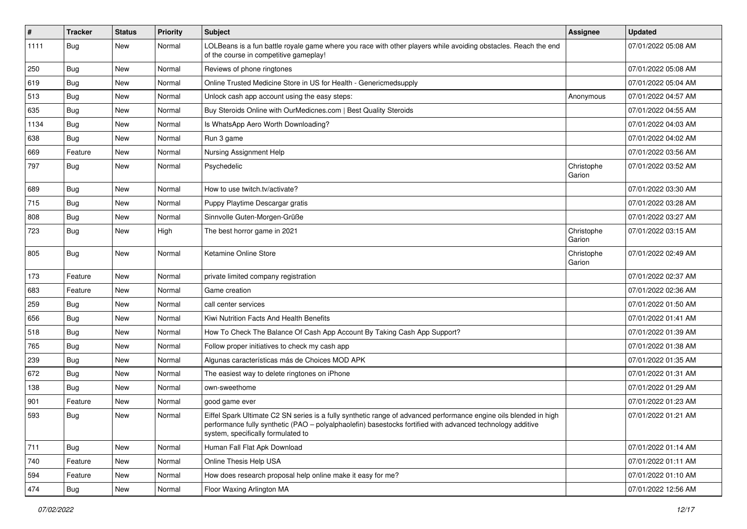| $\vert$ # | <b>Tracker</b> | <b>Status</b> | <b>Priority</b> | Subject                                                                                                                                                                                                                                                               | Assignee             | <b>Updated</b>      |
|-----------|----------------|---------------|-----------------|-----------------------------------------------------------------------------------------------------------------------------------------------------------------------------------------------------------------------------------------------------------------------|----------------------|---------------------|
| 1111      | Bug            | New           | Normal          | LOLBeans is a fun battle royale game where you race with other players while avoiding obstacles. Reach the end<br>of the course in competitive gameplay!                                                                                                              |                      | 07/01/2022 05:08 AM |
| 250       | <b>Bug</b>     | New           | Normal          | Reviews of phone ringtones                                                                                                                                                                                                                                            |                      | 07/01/2022 05:08 AM |
| 619       | Bug            | New           | Normal          | Online Trusted Medicine Store in US for Health - Genericmedsupply                                                                                                                                                                                                     |                      | 07/01/2022 05:04 AM |
| 513       | <b>Bug</b>     | New           | Normal          | Unlock cash app account using the easy steps:                                                                                                                                                                                                                         | Anonymous            | 07/01/2022 04:57 AM |
| 635       | Bug            | New           | Normal          | Buy Steroids Online with OurMedicnes.com   Best Quality Steroids                                                                                                                                                                                                      |                      | 07/01/2022 04:55 AM |
| 1134      | <b>Bug</b>     | New           | Normal          | Is WhatsApp Aero Worth Downloading?                                                                                                                                                                                                                                   |                      | 07/01/2022 04:03 AM |
| 638       | Bug            | New           | Normal          | Run 3 game                                                                                                                                                                                                                                                            |                      | 07/01/2022 04:02 AM |
| 669       | Feature        | New           | Normal          | Nursing Assignment Help                                                                                                                                                                                                                                               |                      | 07/01/2022 03:56 AM |
| 797       | Bug            | New           | Normal          | Psychedelic                                                                                                                                                                                                                                                           | Christophe<br>Garion | 07/01/2022 03:52 AM |
| 689       | Bug            | New           | Normal          | How to use twitch.tv/activate?                                                                                                                                                                                                                                        |                      | 07/01/2022 03:30 AM |
| 715       | Bug            | New           | Normal          | Puppy Playtime Descargar gratis                                                                                                                                                                                                                                       |                      | 07/01/2022 03:28 AM |
| 808       | Bug            | New           | Normal          | Sinnvolle Guten-Morgen-Grüße                                                                                                                                                                                                                                          |                      | 07/01/2022 03:27 AM |
| 723       | <b>Bug</b>     | New           | High            | The best horror game in 2021                                                                                                                                                                                                                                          | Christophe<br>Garion | 07/01/2022 03:15 AM |
| 805       | Bug            | New           | Normal          | Ketamine Online Store                                                                                                                                                                                                                                                 | Christophe<br>Garion | 07/01/2022 02:49 AM |
| 173       | Feature        | New           | Normal          | private limited company registration                                                                                                                                                                                                                                  |                      | 07/01/2022 02:37 AM |
| 683       | Feature        | New           | Normal          | Game creation                                                                                                                                                                                                                                                         |                      | 07/01/2022 02:36 AM |
| 259       | <b>Bug</b>     | New           | Normal          | call center services                                                                                                                                                                                                                                                  |                      | 07/01/2022 01:50 AM |
| 656       | <b>Bug</b>     | New           | Normal          | Kiwi Nutrition Facts And Health Benefits                                                                                                                                                                                                                              |                      | 07/01/2022 01:41 AM |
| 518       | <b>Bug</b>     | New           | Normal          | How To Check The Balance Of Cash App Account By Taking Cash App Support?                                                                                                                                                                                              |                      | 07/01/2022 01:39 AM |
| 765       | Bug            | New           | Normal          | Follow proper initiatives to check my cash app                                                                                                                                                                                                                        |                      | 07/01/2022 01:38 AM |
| 239       | <b>Bug</b>     | New           | Normal          | Algunas características más de Choices MOD APK                                                                                                                                                                                                                        |                      | 07/01/2022 01:35 AM |
| 672       | <b>Bug</b>     | New           | Normal          | The easiest way to delete ringtones on iPhone                                                                                                                                                                                                                         |                      | 07/01/2022 01:31 AM |
| 138       | <b>Bug</b>     | New           | Normal          | own-sweethome                                                                                                                                                                                                                                                         |                      | 07/01/2022 01:29 AM |
| 901       | Feature        | New           | Normal          | good game ever                                                                                                                                                                                                                                                        |                      | 07/01/2022 01:23 AM |
| 593       | <b>Bug</b>     | New           | Normal          | Eiffel Spark Ultimate C2 SN series is a fully synthetic range of advanced performance engine oils blended in high<br>performance fully synthetic (PAO - polyalphaolefin) basestocks fortified with advanced technology additive<br>system, specifically formulated to |                      | 07/01/2022 01:21 AM |
| 711       | Bug            | New           | Normal          | Human Fall Flat Apk Download                                                                                                                                                                                                                                          |                      | 07/01/2022 01:14 AM |
| 740       | Feature        | New           | Normal          | Online Thesis Help USA                                                                                                                                                                                                                                                |                      | 07/01/2022 01:11 AM |
| 594       | Feature        | New           | Normal          | How does research proposal help online make it easy for me?                                                                                                                                                                                                           |                      | 07/01/2022 01:10 AM |
| 474       | Bug            | New           | Normal          | Floor Waxing Arlington MA                                                                                                                                                                                                                                             |                      | 07/01/2022 12:56 AM |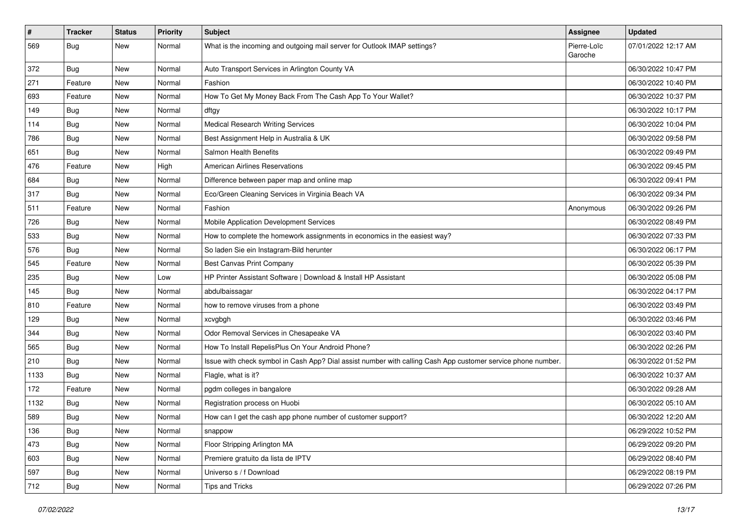| $\vert$ # | <b>Tracker</b> | <b>Status</b> | <b>Priority</b> | Subject                                                                                                      | Assignee               | <b>Updated</b>      |
|-----------|----------------|---------------|-----------------|--------------------------------------------------------------------------------------------------------------|------------------------|---------------------|
| 569       | <b>Bug</b>     | New           | Normal          | What is the incoming and outgoing mail server for Outlook IMAP settings?                                     | Pierre-Loïc<br>Garoche | 07/01/2022 12:17 AM |
| 372       | Bug            | New           | Normal          | Auto Transport Services in Arlington County VA                                                               |                        | 06/30/2022 10:47 PM |
| 271       | Feature        | New           | Normal          | Fashion                                                                                                      |                        | 06/30/2022 10:40 PM |
| 693       | Feature        | New           | Normal          | How To Get My Money Back From The Cash App To Your Wallet?                                                   |                        | 06/30/2022 10:37 PM |
| 149       | <b>Bug</b>     | New           | Normal          | dftgy                                                                                                        |                        | 06/30/2022 10:17 PM |
| 114       | Bug            | New           | Normal          | <b>Medical Research Writing Services</b>                                                                     |                        | 06/30/2022 10:04 PM |
| 786       | <b>Bug</b>     | New           | Normal          | Best Assignment Help in Australia & UK                                                                       |                        | 06/30/2022 09:58 PM |
| 651       | Bug            | New           | Normal          | Salmon Health Benefits                                                                                       |                        | 06/30/2022 09:49 PM |
| 476       | Feature        | New           | High            | <b>American Airlines Reservations</b>                                                                        |                        | 06/30/2022 09:45 PM |
| 684       | Bug            | New           | Normal          | Difference between paper map and online map                                                                  |                        | 06/30/2022 09:41 PM |
| 317       | <b>Bug</b>     | New           | Normal          | Eco/Green Cleaning Services in Virginia Beach VA                                                             |                        | 06/30/2022 09:34 PM |
| 511       | Feature        | New           | Normal          | Fashion                                                                                                      | Anonymous              | 06/30/2022 09:26 PM |
| 726       | Bug            | New           | Normal          | Mobile Application Development Services                                                                      |                        | 06/30/2022 08:49 PM |
| 533       | <b>Bug</b>     | New           | Normal          | How to complete the homework assignments in economics in the easiest way?                                    |                        | 06/30/2022 07:33 PM |
| 576       | Bug            | New           | Normal          | So laden Sie ein Instagram-Bild herunter                                                                     |                        | 06/30/2022 06:17 PM |
| 545       | Feature        | New           | Normal          | <b>Best Canvas Print Company</b>                                                                             |                        | 06/30/2022 05:39 PM |
| 235       | Bug            | New           | Low             | HP Printer Assistant Software   Download & Install HP Assistant                                              |                        | 06/30/2022 05:08 PM |
| 145       | <b>Bug</b>     | New           | Normal          | abdulbaissagar                                                                                               |                        | 06/30/2022 04:17 PM |
| 810       | Feature        | New           | Normal          | how to remove viruses from a phone                                                                           |                        | 06/30/2022 03:49 PM |
| 129       | Bug            | New           | Normal          | xcvgbgh                                                                                                      |                        | 06/30/2022 03:46 PM |
| 344       | Bug            | New           | Normal          | Odor Removal Services in Chesapeake VA                                                                       |                        | 06/30/2022 03:40 PM |
| 565       | Bug            | New           | Normal          | How To Install RepelisPlus On Your Android Phone?                                                            |                        | 06/30/2022 02:26 PM |
| 210       | <b>Bug</b>     | New           | Normal          | Issue with check symbol in Cash App? Dial assist number with calling Cash App customer service phone number. |                        | 06/30/2022 01:52 PM |
| 1133      | <b>Bug</b>     | New           | Normal          | Flagle, what is it?                                                                                          |                        | 06/30/2022 10:37 AM |
| 172       | Feature        | New           | Normal          | pgdm colleges in bangalore                                                                                   |                        | 06/30/2022 09:28 AM |
| 1132      | <b>Bug</b>     | New           | Normal          | Registration process on Huobi                                                                                |                        | 06/30/2022 05:10 AM |
| 589       | <b>Bug</b>     | New           | Normal          | How can I get the cash app phone number of customer support?                                                 |                        | 06/30/2022 12:20 AM |
| 136       | Bug            | New           | Normal          | snappow                                                                                                      |                        | 06/29/2022 10:52 PM |
| 473       | Bug            | New           | Normal          | Floor Stripping Arlington MA                                                                                 |                        | 06/29/2022 09:20 PM |
| 603       | Bug            | New           | Normal          | Premiere gratuito da lista de IPTV                                                                           |                        | 06/29/2022 08:40 PM |
| 597       | <b>Bug</b>     | New           | Normal          | Universo s / f Download                                                                                      |                        | 06/29/2022 08:19 PM |
| 712       | <b>Bug</b>     | New           | Normal          | Tips and Tricks                                                                                              |                        | 06/29/2022 07:26 PM |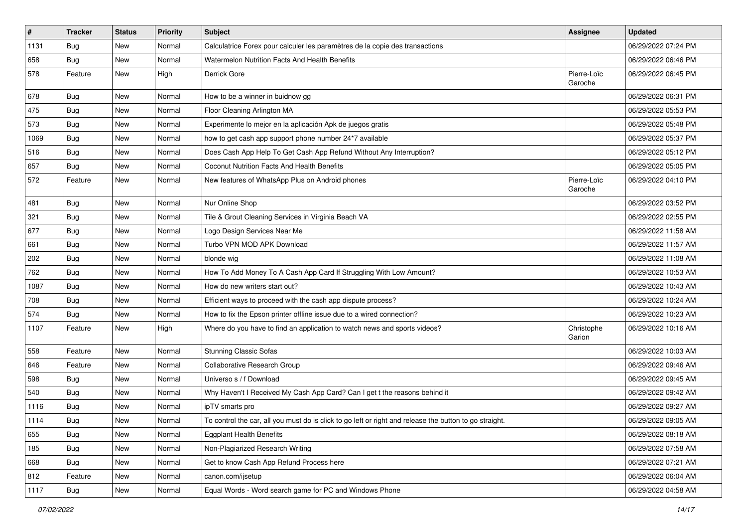| $\vert$ # | Tracker    | <b>Status</b> | <b>Priority</b> | Subject                                                                                                 | <b>Assignee</b>        | <b>Updated</b>      |
|-----------|------------|---------------|-----------------|---------------------------------------------------------------------------------------------------------|------------------------|---------------------|
| 1131      | <b>Bug</b> | New           | Normal          | Calculatrice Forex pour calculer les paramètres de la copie des transactions                            |                        | 06/29/2022 07:24 PM |
| 658       | <b>Bug</b> | New           | Normal          | Watermelon Nutrition Facts And Health Benefits                                                          |                        | 06/29/2022 06:46 PM |
| 578       | Feature    | New           | High            | Derrick Gore                                                                                            | Pierre-Loïc<br>Garoche | 06/29/2022 06:45 PM |
| 678       | Bug        | New           | Normal          | How to be a winner in buidnow gg                                                                        |                        | 06/29/2022 06:31 PM |
| 475       | <b>Bug</b> | New           | Normal          | Floor Cleaning Arlington MA                                                                             |                        | 06/29/2022 05:53 PM |
| 573       | <b>Bug</b> | New           | Normal          | Experimente lo mejor en la aplicación Apk de juegos gratis                                              |                        | 06/29/2022 05:48 PM |
| 1069      | <b>Bug</b> | New           | Normal          | how to get cash app support phone number 24*7 available                                                 |                        | 06/29/2022 05:37 PM |
| 516       | <b>Bug</b> | New           | Normal          | Does Cash App Help To Get Cash App Refund Without Any Interruption?                                     |                        | 06/29/2022 05:12 PM |
| 657       | <b>Bug</b> | New           | Normal          | Coconut Nutrition Facts And Health Benefits                                                             |                        | 06/29/2022 05:05 PM |
| 572       | Feature    | New           | Normal          | New features of WhatsApp Plus on Android phones                                                         | Pierre-Loïc<br>Garoche | 06/29/2022 04:10 PM |
| 481       | Bug        | New           | Normal          | Nur Online Shop                                                                                         |                        | 06/29/2022 03:52 PM |
| 321       | Bug        | New           | Normal          | Tile & Grout Cleaning Services in Virginia Beach VA                                                     |                        | 06/29/2022 02:55 PM |
| 677       | <b>Bug</b> | New           | Normal          | Logo Design Services Near Me                                                                            |                        | 06/29/2022 11:58 AM |
| 661       | Bug        | New           | Normal          | Turbo VPN MOD APK Download                                                                              |                        | 06/29/2022 11:57 AM |
| 202       | <b>Bug</b> | New           | Normal          | blonde wig                                                                                              |                        | 06/29/2022 11:08 AM |
| 762       | Bug        | New           | Normal          | How To Add Money To A Cash App Card If Struggling With Low Amount?                                      |                        | 06/29/2022 10:53 AM |
| 1087      | <b>Bug</b> | New           | Normal          | How do new writers start out?                                                                           |                        | 06/29/2022 10:43 AM |
| 708       | Bug        | New           | Normal          | Efficient ways to proceed with the cash app dispute process?                                            |                        | 06/29/2022 10:24 AM |
| 574       | Bug        | New           | Normal          | How to fix the Epson printer offline issue due to a wired connection?                                   |                        | 06/29/2022 10:23 AM |
| 1107      | Feature    | New           | High            | Where do you have to find an application to watch news and sports videos?                               | Christophe<br>Garion   | 06/29/2022 10:16 AM |
| 558       | Feature    | New           | Normal          | <b>Stunning Classic Sofas</b>                                                                           |                        | 06/29/2022 10:03 AM |
| 646       | Feature    | New           | Normal          | Collaborative Research Group                                                                            |                        | 06/29/2022 09:46 AM |
| 598       | Bug        | New           | Normal          | Universo s / f Download                                                                                 |                        | 06/29/2022 09:45 AM |
| 540       | Bug        | New           | Normal          | Why Haven't I Received My Cash App Card? Can I get t the reasons behind it                              |                        | 06/29/2022 09:42 AM |
| 1116      | <b>Bug</b> | New           | Normal          | ipTV smarts pro                                                                                         |                        | 06/29/2022 09:27 AM |
| 1114      | Bug        | New           | Normal          | To control the car, all you must do is click to go left or right and release the button to go straight. |                        | 06/29/2022 09:05 AM |
| 655       | <b>Bug</b> | New           | Normal          | <b>Eggplant Health Benefits</b>                                                                         |                        | 06/29/2022 08:18 AM |
| 185       | Bug        | New           | Normal          | Non-Plagiarized Research Writing                                                                        |                        | 06/29/2022 07:58 AM |
| 668       | <b>Bug</b> | New           | Normal          | Get to know Cash App Refund Process here                                                                |                        | 06/29/2022 07:21 AM |
| 812       | Feature    | New           | Normal          | canon.com/ijsetup                                                                                       |                        | 06/29/2022 06:04 AM |
| 1117      | <b>Bug</b> | New           | Normal          | Equal Words - Word search game for PC and Windows Phone                                                 |                        | 06/29/2022 04:58 AM |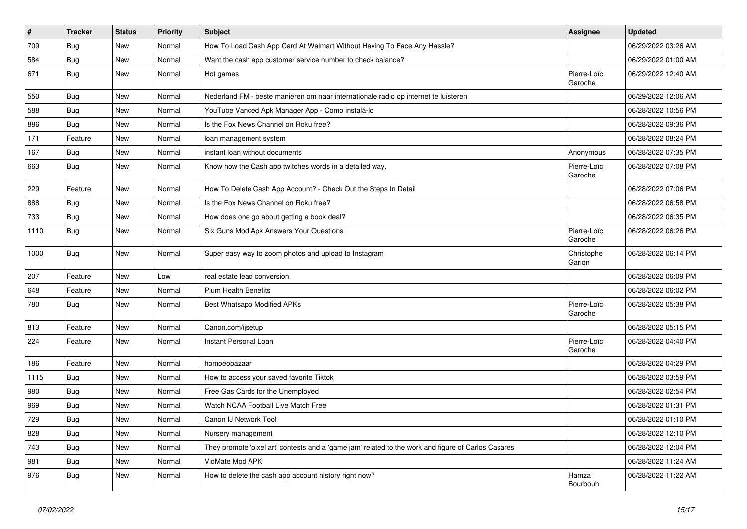| $\vert$ # | <b>Tracker</b> | <b>Status</b> | <b>Priority</b> | <b>Subject</b>                                                                                      | <b>Assignee</b>        | <b>Updated</b>      |
|-----------|----------------|---------------|-----------------|-----------------------------------------------------------------------------------------------------|------------------------|---------------------|
| 709       | <b>Bug</b>     | New           | Normal          | How To Load Cash App Card At Walmart Without Having To Face Any Hassle?                             |                        | 06/29/2022 03:26 AM |
| 584       | Bug            | New           | Normal          | Want the cash app customer service number to check balance?                                         |                        | 06/29/2022 01:00 AM |
| 671       | Bug            | New           | Normal          | Hot games                                                                                           | Pierre-Loïc<br>Garoche | 06/29/2022 12:40 AM |
| 550       | Bug            | New           | Normal          | Nederland FM - beste manieren om naar internationale radio op internet te luisteren                 |                        | 06/29/2022 12:06 AM |
| 588       | Bug            | New           | Normal          | YouTube Vanced Apk Manager App - Como instalá-lo                                                    |                        | 06/28/2022 10:56 PM |
| 886       | Bug            | New           | Normal          | Is the Fox News Channel on Roku free?                                                               |                        | 06/28/2022 09:36 PM |
| 171       | Feature        | New           | Normal          | loan management system                                                                              |                        | 06/28/2022 08:24 PM |
| 167       | <b>Bug</b>     | New           | Normal          | instant loan without documents                                                                      | Anonymous              | 06/28/2022 07:35 PM |
| 663       | <b>Bug</b>     | New           | Normal          | Know how the Cash app twitches words in a detailed way.                                             | Pierre-Loïc<br>Garoche | 06/28/2022 07:08 PM |
| 229       | Feature        | New           | Normal          | How To Delete Cash App Account? - Check Out the Steps In Detail                                     |                        | 06/28/2022 07:06 PM |
| 888       | Bug            | New           | Normal          | Is the Fox News Channel on Roku free?                                                               |                        | 06/28/2022 06:58 PM |
| 733       | <b>Bug</b>     | New           | Normal          | How does one go about getting a book deal?                                                          |                        | 06/28/2022 06:35 PM |
| 1110      | Bug            | New           | Normal          | Six Guns Mod Apk Answers Your Questions                                                             | Pierre-Loïc<br>Garoche | 06/28/2022 06:26 PM |
| 1000      | Bug            | New           | Normal          | Super easy way to zoom photos and upload to Instagram                                               | Christophe<br>Garion   | 06/28/2022 06:14 PM |
| 207       | Feature        | New           | Low             | real estate lead conversion                                                                         |                        | 06/28/2022 06:09 PM |
| 648       | Feature        | New           | Normal          | <b>Plum Health Benefits</b>                                                                         |                        | 06/28/2022 06:02 PM |
| 780       | Bug            | New           | Normal          | Best Whatsapp Modified APKs                                                                         | Pierre-Loïc<br>Garoche | 06/28/2022 05:38 PM |
| 813       | Feature        | New           | Normal          | Canon.com/ijsetup                                                                                   |                        | 06/28/2022 05:15 PM |
| 224       | Feature        | New           | Normal          | Instant Personal Loan                                                                               | Pierre-Loïc<br>Garoche | 06/28/2022 04:40 PM |
| 186       | Feature        | New           | Normal          | homoeobazaar                                                                                        |                        | 06/28/2022 04:29 PM |
| 1115      | Bug            | New           | Normal          | How to access your saved favorite Tiktok                                                            |                        | 06/28/2022 03:59 PM |
| 980       | <b>Bug</b>     | New           | Normal          | Free Gas Cards for the Unemployed                                                                   |                        | 06/28/2022 02:54 PM |
| 969       | <b>Bug</b>     | New           | Normal          | Watch NCAA Football Live Match Free                                                                 |                        | 06/28/2022 01:31 PM |
| 729       | Bug            | New           | Normal          | Canon IJ Network Tool                                                                               |                        | 06/28/2022 01:10 PM |
| 828       | Bug            | New           | Normal          | Nursery management                                                                                  |                        | 06/28/2022 12:10 PM |
| 743       | Bug            | New           | Normal          | They promote 'pixel art' contests and a 'game jam' related to the work and figure of Carlos Casares |                        | 06/28/2022 12:04 PM |
| 981       | Bug            | New           | Normal          | VidMate Mod APK                                                                                     |                        | 06/28/2022 11:24 AM |
| 976       | <b>Bug</b>     | New           | Normal          | How to delete the cash app account history right now?                                               | Hamza<br>Bourbouh      | 06/28/2022 11:22 AM |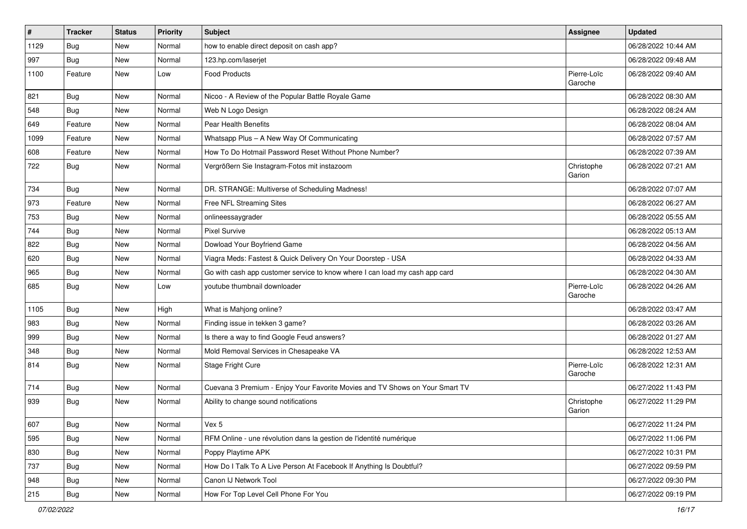| #    | <b>Tracker</b> | <b>Status</b> | Priority | Subject                                                                      | <b>Assignee</b>        | <b>Updated</b>      |
|------|----------------|---------------|----------|------------------------------------------------------------------------------|------------------------|---------------------|
| 1129 | <b>Bug</b>     | New           | Normal   | how to enable direct deposit on cash app?                                    |                        | 06/28/2022 10:44 AM |
| 997  | Bug            | New           | Normal   | 123.hp.com/laserjet                                                          |                        | 06/28/2022 09:48 AM |
| 1100 | Feature        | New           | Low      | <b>Food Products</b>                                                         | Pierre-Loïc<br>Garoche | 06/28/2022 09:40 AM |
| 821  | Bug            | New           | Normal   | Nicoo - A Review of the Popular Battle Royale Game                           |                        | 06/28/2022 08:30 AM |
| 548  | Bug            | New           | Normal   | Web N Logo Design                                                            |                        | 06/28/2022 08:24 AM |
| 649  | Feature        | New           | Normal   | Pear Health Benefits                                                         |                        | 06/28/2022 08:04 AM |
| 1099 | Feature        | New           | Normal   | Whatsapp Plus - A New Way Of Communicating                                   |                        | 06/28/2022 07:57 AM |
| 608  | Feature        | New           | Normal   | How To Do Hotmail Password Reset Without Phone Number?                       |                        | 06/28/2022 07:39 AM |
| 722  | Bug            | New           | Normal   | Vergrößern Sie Instagram-Fotos mit instazoom                                 | Christophe<br>Garion   | 06/28/2022 07:21 AM |
| 734  | Bug            | New           | Normal   | DR. STRANGE: Multiverse of Scheduling Madness!                               |                        | 06/28/2022 07:07 AM |
| 973  | Feature        | New           | Normal   | Free NFL Streaming Sites                                                     |                        | 06/28/2022 06:27 AM |
| 753  | <b>Bug</b>     | New           | Normal   | onlineessaygrader                                                            |                        | 06/28/2022 05:55 AM |
| 744  | <b>Bug</b>     | New           | Normal   | <b>Pixel Survive</b>                                                         |                        | 06/28/2022 05:13 AM |
| 822  | Bug            | New           | Normal   | Dowload Your Boyfriend Game                                                  |                        | 06/28/2022 04:56 AM |
| 620  | Bug            | New           | Normal   | Viagra Meds: Fastest & Quick Delivery On Your Doorstep - USA                 |                        | 06/28/2022 04:33 AM |
| 965  | Bug            | New           | Normal   | Go with cash app customer service to know where I can load my cash app card  |                        | 06/28/2022 04:30 AM |
| 685  | Bug            | New           | Low      | voutube thumbnail downloader                                                 | Pierre-Loïc<br>Garoche | 06/28/2022 04:26 AM |
| 1105 | Bug            | New           | High     | What is Mahjong online?                                                      |                        | 06/28/2022 03:47 AM |
| 983  | Bug            | New           | Normal   | Finding issue in tekken 3 game?                                              |                        | 06/28/2022 03:26 AM |
| 999  | Bug            | New           | Normal   | Is there a way to find Google Feud answers?                                  |                        | 06/28/2022 01:27 AM |
| 348  | Bug            | New           | Normal   | Mold Removal Services in Chesapeake VA                                       |                        | 06/28/2022 12:53 AM |
| 814  | Bug            | New           | Normal   | Stage Fright Cure                                                            | Pierre-Loïc<br>Garoche | 06/28/2022 12:31 AM |
| 714  | Bug            | New           | Normal   | Cuevana 3 Premium - Enjoy Your Favorite Movies and TV Shows on Your Smart TV |                        | 06/27/2022 11:43 PM |
| 939  | Bug            | New           | Normal   | Ability to change sound notifications                                        | Christophe<br>Garion   | 06/27/2022 11:29 PM |
| 607  | Bug            | New           | Normal   | Vex 5                                                                        |                        | 06/27/2022 11:24 PM |
| 595  | Bug            | New           | Normal   | RFM Online - une révolution dans la gestion de l'identité numérique          |                        | 06/27/2022 11:06 PM |
| 830  | Bug            | New           | Normal   | Poppy Playtime APK                                                           |                        | 06/27/2022 10:31 PM |
| 737  | Bug            | New           | Normal   | How Do I Talk To A Live Person At Facebook If Anything Is Doubtful?          |                        | 06/27/2022 09:59 PM |
| 948  | <b>Bug</b>     | New           | Normal   | Canon IJ Network Tool                                                        |                        | 06/27/2022 09:30 PM |
| 215  | Bug            | New           | Normal   | How For Top Level Cell Phone For You                                         |                        | 06/27/2022 09:19 PM |